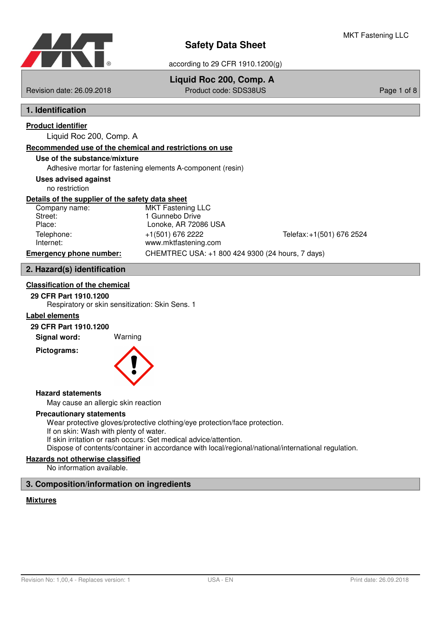

## **Liquid Roc 200, Comp. A**

Revision date: 26.09.2018 Product code: SDS38US Page 1 of 8

## **1. Identification**

## **Product identifier**

Liquid Roc 200, Comp. A

### **Recommended use of the chemical and restrictions on use**

## **Use of the substance/mixture**

Adhesive mortar for fastening elements A-component (resin)

## **Uses advised against**

no restriction

### **Details of the supplier of the safety data sheet**

| Company name:                  | <b>MKT Fastening LLC</b>                         |                           |
|--------------------------------|--------------------------------------------------|---------------------------|
| Street:                        | 1 Gunnebo Drive                                  |                           |
| Place:                         | Lonoke, AR 72086 USA                             |                           |
| Telephone:                     | +1(501) 676 2222                                 | Telefax: +1(501) 676 2524 |
| Internet:                      | www.mktfastening.com                             |                           |
| <b>Emergency phone number:</b> | CHEMTREC USA: +1 800 424 9300 (24 hours, 7 days) |                           |
|                                |                                                  |                           |

## **2. Hazard(s) identification**

## **Classification of the chemical**

## **29 CFR Part 1910.1200**

Respiratory or skin sensitization: Skin Sens. 1

## **Label elements**

## **29 CFR Part 1910.1200**

**Signal word:** Warning

**Pictograms:**



#### **Hazard statements**

May cause an allergic skin reaction

#### **Precautionary statements**

Wear protective gloves/protective clothing/eye protection/face protection. If on skin: Wash with plenty of water. If skin irritation or rash occurs: Get medical advice/attention. Dispose of contents/container in accordance with local/regional/national/international regulation.

## **Hazards not otherwise classified**

No information available.

## **3. Composition/information on ingredients**

### **Mixtures**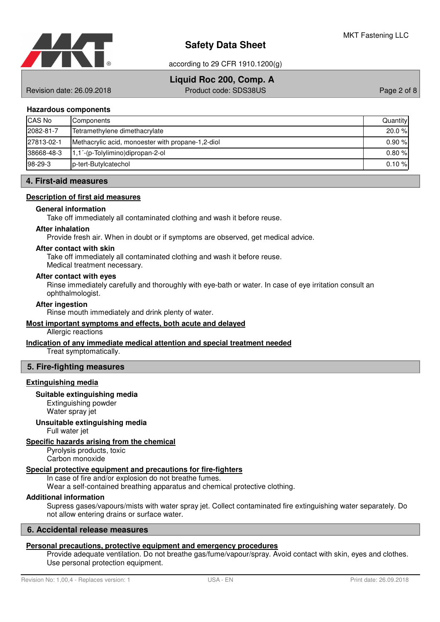

according to 29 CFR 1910.1200(g)

## **Liquid Roc 200, Comp. A**

Revision date: 26.09.2018 Product code: SDS38US Page 2 of 8

### **Hazardous components**

| <b>CAS No</b> | Components                                        | Quantity  |
|---------------|---------------------------------------------------|-----------|
| 2082-81-7     | Tetramethylene dimethacrylate                     | $20.0 \%$ |
| 27813-02-1    | Methacrylic acid, monoester with propane-1,2-diol | 0.90%     |
| 38668-48-3    | $1,1'$ -(p-Tolylimino)dipropan-2-ol               | 0.80%     |
| $98-29-3$     | b-tert-Butylcatechol                              | 0.10%     |

## **4. First-aid measures**

### **Description of first aid measures**

### **General information**

Take off immediately all contaminated clothing and wash it before reuse.

#### **After inhalation**

Provide fresh air. When in doubt or if symptoms are observed, get medical advice.

#### **After contact with skin**

Take off immediately all contaminated clothing and wash it before reuse. Medical treatment necessary.

#### **After contact with eyes**

Rinse immediately carefully and thoroughly with eye-bath or water. In case of eye irritation consult an ophthalmologist.

## **After ingestion**

Rinse mouth immediately and drink plenty of water.

## **Most important symptoms and effects , both acute and delayed**

Allergic reactions

## **Indication of any immediate medical attention and special treatment needed**

Treat symptomatically.

## **5. Fire-fighting measures**

#### **Extinguishing media**

#### **Suitable extinguishing media**

Extinguishing powder Water spray jet

#### **Unsuitable extinguishing media**

Full water jet

## **Specific hazards arising from the chemical**

Pyrolysis products, toxic Carbon monoxide

## **Special protective equipment and precautions for fire - fighters**

In case of fire and/or explosion do not breathe fumes.

Wear a self-contained breathing apparatus and chemical protective clothing.

## **Additional information**

Supress gases/vapours/mists with water spray jet. Collect contaminated fire extinguishing water separately. Do not allow entering drains or surface water.

## **6. Accidental release measures**

## Personal precautions, protective equipment and emergency procedures

Provide adequate ventilation. Do not breathe gas/fume/vapour/spray. Avoid contact with skin, eyes and clothes. Use personal protection equipment.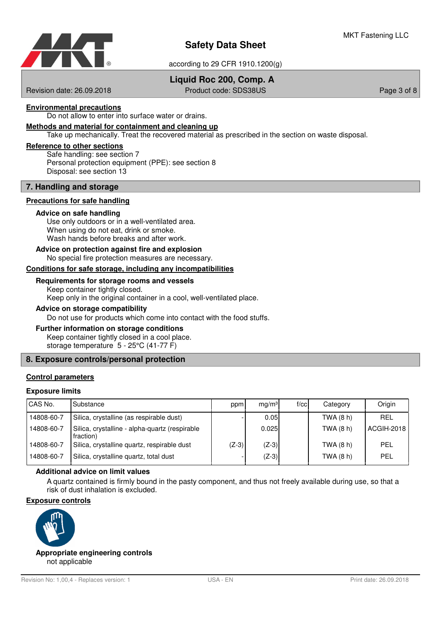

according to 29 CFR 1910.1200(g)

## **Liquid Roc 200, Comp. A**

Revision date: 26.09.2018 Product code: SDS38US Page 3 of 8

## **Environmental precautions**

Do not allow to enter into surface water or drains.

## **Methods and material for containment and cleaning up**

Take up mechanically. Treat the recovered material as prescribed in the section on waste disposal.

#### **Reference to other sections**

Safe handling: see section 7 Personal protection equipment (PPE): see section 8 Disposal: see section 13

#### **7. Handling and storage**

#### **Precautions for safe handling**

#### **Advice on safe handling**

Use only outdoors or in a well-ventilated area. When using do not eat, drink or smoke. Wash hands before breaks and after work.

#### No special fire protection measures are necessary. **Advice on protection against fire and explosion**

#### Conditions for safe storage, including any incompatibilities

#### **Requirements for storage rooms and vessels**

Keep container tightly closed. Keep only in the original container in a cool, well-ventilated place.

## **Advice on storage compatibility**

Do not use for products which come into contact with the food stuffs.

#### **Further information on storage conditions**

Keep container tightly closed in a cool place.

storage temperature 5 - 25°C (41-77 F)

## **8. Exposure controls/personal protection**

## **Control parameters**

#### **Exposure limits**

| CAS No.    | Substance                                                   | ppm     | mq/m <sup>3</sup> | $f$ / $c$ c | Category  | Origin     |
|------------|-------------------------------------------------------------|---------|-------------------|-------------|-----------|------------|
| 14808-60-7 | Silica, crystalline (as respirable dust)                    |         | 0.05              |             | TWA (8 h) | <b>REL</b> |
| 14808-60-7 | Silica, crystalline - alpha-quartz (respirable<br>fraction) |         | 0.025             |             | TWA (8 h) | ACGIH-2018 |
| 14808-60-7 | Silica, crystalline quartz, respirable dust                 | $(Z-3)$ | $(Z-3)$           |             | TWA (8 h) | PEL        |
| 14808-60-7 | Silica, crystalline quartz, total dust                      |         | $(Z-3)$           |             | TWA (8 h) | PEL        |

#### **Additional advice on limit values**

A quartz contained is firmly bound in the pasty component, and thus not freely available during use, so that a risk of dust inhalation is excluded.

## **Exposure controls**



not applicable **Appropriate engineering controls**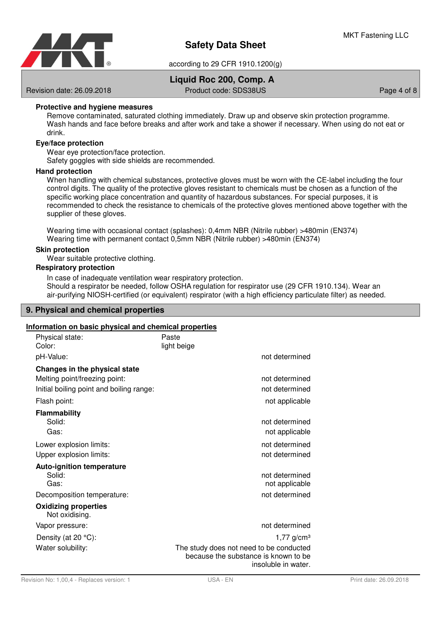

## **Liquid Roc 200, Comp. A**

Revision date: 26.09.2018 **Product code: SDS38US** Page 4 of 8

## **Protective and hygiene measures**

Remove contaminated, saturated clothing immediately. Draw up and observe skin protection programme. Wash hands and face before breaks and after work and take a shower if necessary. When using do not eat or drink.

#### **Eye/face protection**

Wear eye protection/face protection.

Safety goggles with side shields are recommended.

#### **Hand protection**

When handling with chemical substances, protective gloves must be worn with the CE-label including the four control digits. The quality of the protective gloves resistant to chemicals must be chosen as a function of the specific working place concentration and quantity of hazardous substances. For special purposes, it is recommended to check the resistance to chemicals of the protective gloves mentioned above together with the supplier of these gloves.

Wearing time with occasional contact (splashes): 0,4mm NBR (Nitrile rubber) >480min (EN374) Wearing time with permanent contact 0,5mm NBR (Nitrile rubber) >480min (EN374)

#### **Skin protection**

Wear suitable protective clothing.

### **Respiratory protection**

In case of inadequate ventilation wear respiratory protection. Should a respirator be needed, follow OSHA regulation for respirator use (29 CFR 1910.134). Wear an air-purifying NIOSH-certified (or equivalent) respirator (with a high efficiency particulate filter) as needed.

## **9. Physical and chemical properties**

#### **Information on basic physical and chemical properties**

| Physical state:<br>Color:                                                                                  | Paste<br>light beige                                                                                                               |
|------------------------------------------------------------------------------------------------------------|------------------------------------------------------------------------------------------------------------------------------------|
| pH-Value:                                                                                                  | not determined                                                                                                                     |
| Changes in the physical state<br>Melting point/freezing point:<br>Initial boiling point and boiling range: | not determined<br>not determined                                                                                                   |
| Flash point:                                                                                               | not applicable                                                                                                                     |
| <b>Flammability</b><br>Solid:<br>Gas:                                                                      | not determined<br>not applicable                                                                                                   |
| Lower explosion limits:<br>Upper explosion limits:                                                         | not determined<br>not determined                                                                                                   |
| <b>Auto-ignition temperature</b><br>Solid:<br>Gas:<br>Decomposition temperature:                           | not determined<br>not applicable<br>not determined                                                                                 |
| <b>Oxidizing properties</b><br>Not oxidising.                                                              |                                                                                                                                    |
| Vapor pressure:                                                                                            | not determined                                                                                                                     |
| Density (at $20 °C$ ):<br>Water solubility:                                                                | $1,77$ g/cm <sup>3</sup><br>The study does not need to be conducted<br>because the substance is known to be<br>insoluble in water. |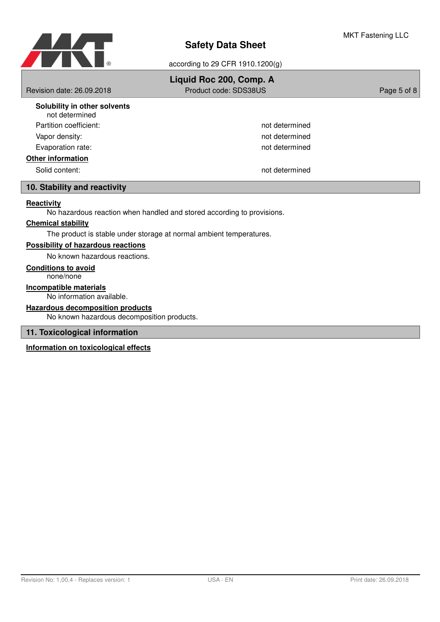

|                                                | Liquid Roc 200, Comp. A |             |
|------------------------------------------------|-------------------------|-------------|
| Revision date: 26.09.2018                      | Product code: SDS38US   | Page 5 of 8 |
| Solubility in other solvents<br>not determined |                         |             |
| Partition coefficient:                         | not determined          |             |
| Vapor density:                                 | not determined          |             |
| Evaporation rate:                              | not determined          |             |
| <b>Other information</b>                       |                         |             |
| Solid content:                                 | not determined          |             |
| 10. Stability and reactivity                   |                         |             |
| Reactivity                                     |                         |             |

No hazardous reaction when handled and stored according to provisions.

## **Chemical stability**

The product is stable under storage at normal ambient temperatures.

### **Possibility of hazardous reactions**

No known hazardous reactions.

## **Conditions to avoid**

none/none

No information available. **Incompatible materials**

**Hazardous decomposition products**

No known hazardous decomposition products.

## **11. Toxicological information**

**Information on toxicological effects**

MKT Fastening LLC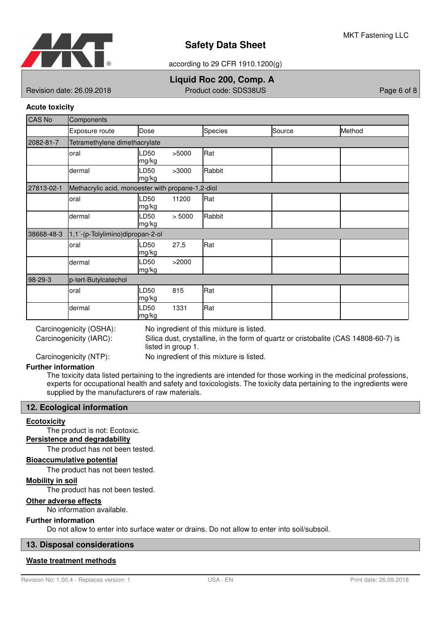

according to 29 CFR 1910.1200(g)

## **Liquid Roc 200, Comp. A**

Revision date: 26.09.2018 Product code: SDS38US Page 6 of 8

## **Acute toxicity**

| <b>CAS No</b> | Components                                        |               |        |         |        |        |
|---------------|---------------------------------------------------|---------------|--------|---------|--------|--------|
|               | Exposure route                                    | Dose          |        | Species | Source | Method |
| 2082-81-7     | Tetramethylene dimethacrylate                     |               |        |         |        |        |
|               | oral                                              | LD50<br>mg/kg | >5000  | Rat     |        |        |
|               | dermal                                            | LD50<br>mg/kg | >3000  | Rabbit  |        |        |
| 27813-02-1    | Methacrylic acid, monoester with propane-1,2-diol |               |        |         |        |        |
|               | oral                                              | .D50<br>mg/kg | 11200  | Rat     |        |        |
|               | dermal                                            | LD50<br>mg/kg | > 5000 | Rabbit  |        |        |
| 38668-48-3    | 1,1'-(p-Tolylimino)dipropan-2-ol                  |               |        |         |        |        |
|               | oral                                              | LD50<br>mg/kg | 27,5   | Rat     |        |        |
|               | dermal                                            | LD50<br>mg/kg | >2000  |         |        |        |
| 98-29-3       | p-tert-Butylcatechol                              |               |        |         |        |        |
|               | oral                                              | LD50<br>mg/kg | 815    | Rat     |        |        |
|               | dermal                                            | LD50<br>mg/kg | 1331   | Rat     |        |        |

Carcinogenicity (IARC):

Carcinogenicity (OSHA): No ingredient of this mixture is listed.

Silica dust, crystalline, in the form of quartz or cristobalite (CAS 14808-60-7) is listed in group 1.

Carcinogenicity (NTP): No ingredient of this mixture is listed.

## **Further information**

The toxicity data listed pertaining to the ingredients are intended for those working in the medicinal professions, experts for occupational health and safety and toxicologists. The toxicity data pertaining to the ingredients were supplied by the manufacturers of raw materials.

## **12. Ecological information**

#### **Ecotoxicity**

The product is not: Ecotoxic.

**Persistence and degradability**

The product has not been tested.

#### **Bioaccumulative potential**

The product has not been tested.

### **Mobility in soil**

The product has not been tested.

## **Other adverse effects**

No information available.

#### **Further information**

Do not allow to enter into surface water or drains. Do not allow to enter into soil/subsoil.

## **13. Disposal considerations**

#### **Waste treatment methods**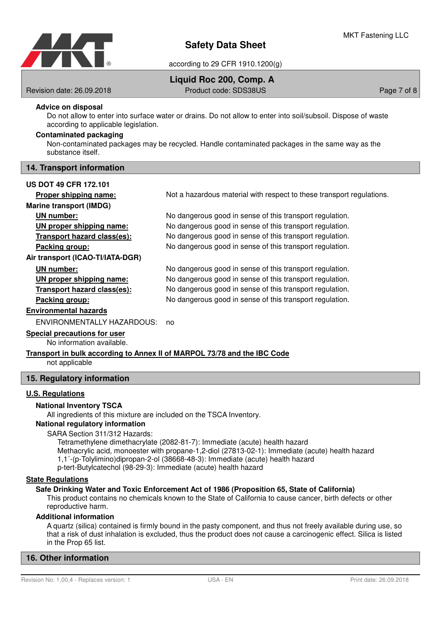

## **Liquid Roc 200, Comp. A**

Revision date: 26.09.2018 Product code: SDS38US Page 7 of 8

### **Advice on disposal**

Do not allow to enter into surface water or drains. Do not allow to enter into soil/subsoil. Dispose of waste according to applicable legislation.

## **Contaminated packaging**

Non-contaminated packages may be recycled. Handle contaminated packages in the same way as the substance itself.

#### **14. Transport information**

#### **US DOT 49 CFR 172.101**

## **Marine transport (IMDG)**

**Air transport (ICAO-TI/IATA-DGR)**

| <b>\I</b> number:         |  |
|---------------------------|--|
| N proper shipping name:   |  |
| ansport hazard class(es): |  |
| <u>aking araun:</u>       |  |

**Proper shipping name:** Not a hazardous material with respect to these transport regulations.

**UN number:** No dangerous good in sense of this transport regulation. **UN proper shipping name:** No dangerous good in sense of this transport regulation. **Transport hazard class (es):** No dangerous good in sense of this transport regulation. **Packing group:** No dangerous good in sense of this transport regulation.

**UN number:** No dangerous good in sense of this transport regulation. **UN proper shipping name:** No dangerous good in sense of this transport regulation. **Transport hazard class (es):** No dangerous good in sense of this transport regulation. **Packing group:** No dangerous good in sense of this transport regulation.

#### **Environmental hazards**

ENVIRONMENTALLY HAZARDOUS: no

## **Special precautions for user**

No information available.

# **Transport in bulk according to Annex II of MARPOL 73/78 and the IBC Code**

not applicable

## **15. Regulatory information**

## **U.S. Regulations**

## **National Inventory TSCA**

All ingredients of this mixture are included on the TSCA Inventory.

## **National regulatory information**

## SARA Section 311/312 Hazards:

Tetramethylene dimethacrylate (2082-81-7): Immediate (acute) health hazard Methacrylic acid, monoester with propane-1,2-diol (27813-02-1): Immediate (acute) health hazard 1,1´-(p-Tolylimino)dipropan-2-ol (38668-48-3): Immediate (acute) health hazard p-tert-Butylcatechol (98-29-3): Immediate (acute) health hazard

## **State Regulations**

## **Safe Drinking Water and Toxic Enforcement Act of 1986 (Proposition 65, State of California)**

This product contains no chemicals known to the State of California to cause cancer, birth defects or other reproductive harm.

## **Additional information**

A quartz (silica) contained is firmly bound in the pasty component, and thus not freely available during use, so that a risk of dust inhalation is excluded, thus the product does not cause a carcinogenic effect. Silica is listed in the Prop 65 list.

## **16. Other information**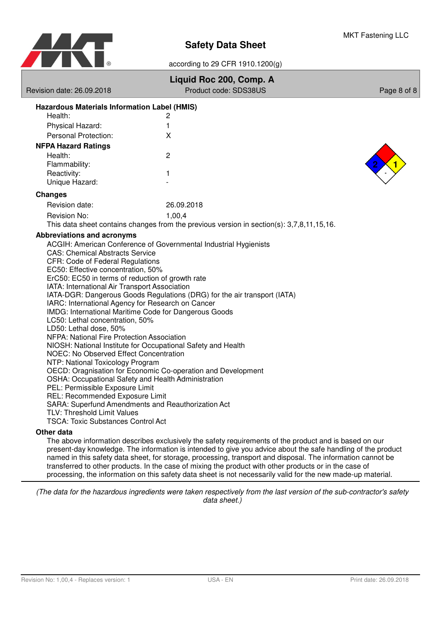

according to 29 CFR 1910.1200(g)

| Revision date: 26.09.2018                                                                                  | Liquid Roc 200, Comp. A<br>Product code: SDS38US                                          | Page 8 of 8 |  |  |  |
|------------------------------------------------------------------------------------------------------------|-------------------------------------------------------------------------------------------|-------------|--|--|--|
|                                                                                                            |                                                                                           |             |  |  |  |
| Hazardous Materials Information Label (HMIS)                                                               |                                                                                           |             |  |  |  |
| Health:<br>Physical Hazard:                                                                                | 2<br>1                                                                                    |             |  |  |  |
| Personal Protection:                                                                                       | X                                                                                         |             |  |  |  |
| <b>NFPA Hazard Ratings</b>                                                                                 |                                                                                           |             |  |  |  |
| Health:                                                                                                    | $\overline{c}$                                                                            |             |  |  |  |
| Flammability:                                                                                              |                                                                                           |             |  |  |  |
| Reactivity:                                                                                                | 1                                                                                         |             |  |  |  |
| Unique Hazard:                                                                                             |                                                                                           |             |  |  |  |
| <b>Changes</b>                                                                                             |                                                                                           |             |  |  |  |
| Revision date:                                                                                             | 26.09.2018                                                                                |             |  |  |  |
| Revision No:                                                                                               | 1,00,4                                                                                    |             |  |  |  |
|                                                                                                            | This data sheet contains changes from the previous version in section(s): 3,7,8,11,15,16. |             |  |  |  |
| Abbreviations and acronyms                                                                                 |                                                                                           |             |  |  |  |
| ACGIH: American Conference of Governmental Industrial Hygienists                                           |                                                                                           |             |  |  |  |
| <b>CAS: Chemical Abstracts Service</b><br>CFR: Code of Federal Regulations                                 |                                                                                           |             |  |  |  |
| EC50: Effective concentration, 50%                                                                         |                                                                                           |             |  |  |  |
| ErC50: EC50 in terms of reduction of growth rate                                                           |                                                                                           |             |  |  |  |
| IATA: International Air Transport Association                                                              |                                                                                           |             |  |  |  |
| IARC: International Agency for Research on Cancer                                                          | IATA-DGR: Dangerous Goods Regulations (DRG) for the air transport (IATA)                  |             |  |  |  |
| IMDG: International Maritime Code for Dangerous Goods                                                      |                                                                                           |             |  |  |  |
| LC50: Lethal concentration, 50%                                                                            |                                                                                           |             |  |  |  |
| LD50: Lethal dose, 50%                                                                                     |                                                                                           |             |  |  |  |
| NFPA: National Fire Protection Association<br>NIOSH: National Institute for Occupational Safety and Health |                                                                                           |             |  |  |  |
| NOEC: No Observed Effect Concentration                                                                     |                                                                                           |             |  |  |  |
| NTP: National Toxicology Program                                                                           |                                                                                           |             |  |  |  |
| OECD: Oragnisation for Economic Co-operation and Development                                               |                                                                                           |             |  |  |  |
| OSHA: Occupational Safety and Health Administration                                                        |                                                                                           |             |  |  |  |
| PEL: Permissible Exposure Limit<br>REL: Recommended Exposure Limit                                         |                                                                                           |             |  |  |  |
| SARA: Superfund Amendments and Reauthorization Act                                                         |                                                                                           |             |  |  |  |
| TLV: Threshold Limit Values                                                                                |                                                                                           |             |  |  |  |
| <b>TSCA: Toxic Substances Control Act</b>                                                                  |                                                                                           |             |  |  |  |
| Other data                                                                                                 |                                                                                           |             |  |  |  |

The above information describes exclusively the safety requirements of the product and is based on our present-day knowledge. The information is intended to give you advice about the safe handling of the product named in this safety data sheet, for storage, processing, transport and disposal. The information cannot be transferred to other products. In the case of mixing the product with other products or in the case of processing, the information on this safety data sheet is not necessarily valid for the new made-up material.

(The data for the hazardous ingredients were taken respectively from the last version of the sub-contractor's safety data sheet.)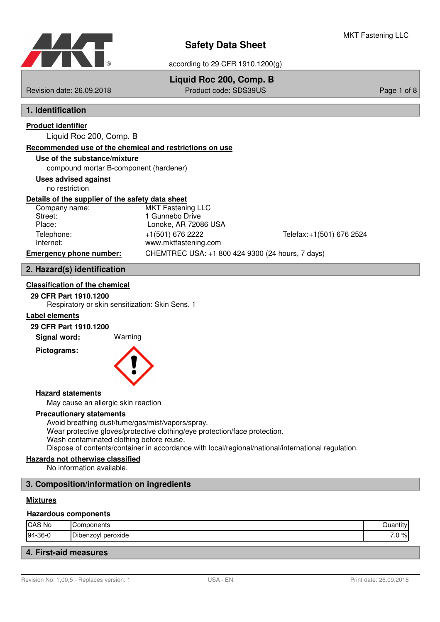

## **Liquid Roc 200, Comp. B**

Revision date: 26.09.2018 Product code: SDS39US Page 1 of 8

## **1. Identification**

# **Product identifier**

Liquid Roc 200, Comp. B

## **Recommended use of the chemical and restrictions on use**

## **Use of the substance/mixture**

compound mortar B-component (hardener)

## **Uses advised against**

no restriction

## **Details of the supplier of the safety data sheet**

| Company name:                  | <b>MKT Fastening LLC</b>                         |                           |
|--------------------------------|--------------------------------------------------|---------------------------|
| Street:                        | 1 Gunnebo Drive                                  |                           |
| Place:                         | Lonoke, AR 72086 USA                             |                           |
| Telephone:                     | +1(501) 676 2222                                 | Telefax: +1(501) 676 2524 |
| Internet:                      | www.mktfastening.com                             |                           |
| <b>Emergency phone number:</b> | CHEMTREC USA: +1 800 424 9300 (24 hours, 7 days) |                           |
|                                |                                                  |                           |

## **2. Hazard(s) identification**

## **Classification of the chemical**

## **29 CFR Part 1910.1200**

Respiratory or skin sensitization: Skin Sens. 1

## **Label elements**

## **29 CFR Part 1910.1200**

**Signal word:** Warning

**Pictograms:**



#### **Hazard statements**

May cause an allergic skin reaction

#### **Precautionary statements**

Avoid breathing dust/fume/gas/mist/vapors/spray. Wear protective gloves/protective clothing/eye protection/face protection. Wash contaminated clothing before reuse. Dispose of contents/container in accordance with local/regional/national/international regulation.

## **Hazards not otherwise classified**

No information available.

## **3. Composition/information on ingredients**

#### **Mixtures**

#### **Hazardous components**

| CAS No  | :omponents         | 1.12   |
|---------|--------------------|--------|
| 94-36-0 | Dibenzoyl peroxide | $.0\%$ |
|         |                    |        |

## **4. First-aid measures**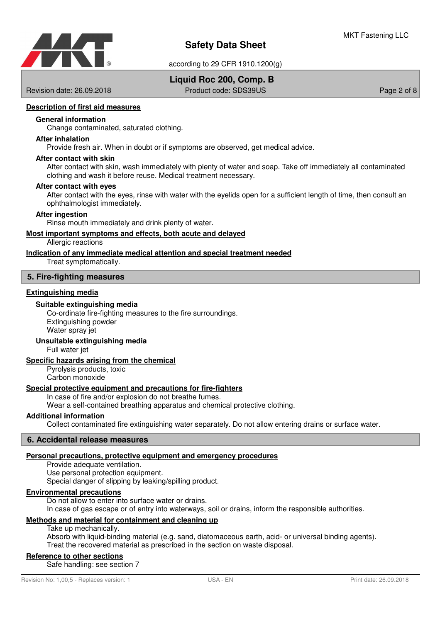

according to 29 CFR 1910.1200(g)

## **Liquid Roc 200, Comp. B**

Revision date: 26.09.2018 Product code: SDS39US Page 2 of 8

## **Description of first aid measures**

#### **General information**

Change contaminated, saturated clothing.

#### **After inhalation**

Provide fresh air. When in doubt or if symptoms are observed, get medical advice.

#### **After contact with skin**

After contact with skin, wash immediately with plenty of water and soap. Take off immediately all contaminated clothing and wash it before reuse. Medical treatment necessary.

#### **After contact with eyes**

After contact with the eyes, rinse with water with the eyelids open for a sufficient length of time, then consult an ophthalmologist immediately.

#### **After ingestion**

Rinse mouth immediately and drink plenty of water.

#### **Most important symptoms and effects , both acute and delayed**

Allergic reactions

#### **Indication of any immediate medical attention and special treatment needed**

Treat symptomatically.

#### **5. Fire-fighting measures**

#### **Extinguishing media**

#### **Suitable extinguishing media**

Co-ordinate fire-fighting measures to the fire surroundings. Extinguishing powder Water spray jet

## **Unsuitable extinguishing media**

Full water jet

#### **Specific hazards arising from the chemical**

Pyrolysis products, toxic Carbon monoxide

#### **Special protective equipment and precautions for fire-fighters**

In case of fire and/or explosion do not breathe fumes.

Wear a self-contained breathing apparatus and chemical protective clothing.

### **Additional information**

Collect contaminated fire extinguishing water separately. Do not allow entering drains or surface water.

## **6. Accidental release measures**

## **Personal precautions, protective equipment and emergency procedures**

Provide adequate ventilation. Use personal protection equipment. Special danger of slipping by leaking/spilling product.

## **Environmental precautions**

Do not allow to enter into surface water or drains.

In case of gas escape or of entry into waterways, soil or drains, inform the responsible authorities.

## **Methods and material for containment and cleaning up**

Take up mechanically.

Absorb with liquid-binding material (e.g. sand, diatomaceous earth, acid- or universal binding agents). Treat the recovered material as prescribed in the section on waste disposal.

## **Reference to other sections**

Safe handling: see section 7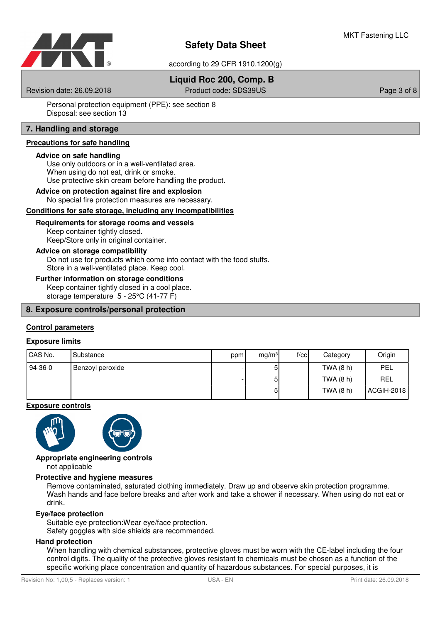

according to 29 CFR 1910.1200(g)

## **Liquid Roc 200, Comp. B**

Revision date: 26.09.2018 **Product code: SDS39US** Page 3 of 8

Personal protection equipment (PPE): see section 8 Disposal: see section 13

## **7. Handling and storage**

## **Precautions for safe handling**

#### **Advice on safe handling**

Use only outdoors or in a well-ventilated area. When using do not eat, drink or smoke. Use protective skin cream before handling the product.

#### **Advice on protection against fire and explosion**

No special fire protection measures are necessary.

#### Conditions for safe storage, including any incompatibilities

#### **Requirements for storage rooms and vessels**

Keep container tightly closed. Keep/Store only in original container.

#### **Advice on storage compatibility**

Do not use for products which come into contact with the food stuffs. Store in a well-ventilated place. Keep cool.

## **Further information on storage conditions**

Keep container tightly closed in a cool place. storage temperature 5 - 25°C (41-77 F)

#### **8. Exposure controls/personal protection**

## **Control parameters**

#### **Exposure limits**

| CAS No. | Substance        | ppm | mg/m <sup>3</sup> | f/cc | Category  | Origin     |
|---------|------------------|-----|-------------------|------|-----------|------------|
| 94-36-0 | Benzoyl peroxide |     | 5                 |      | TWA (8 h) | <b>PEL</b> |
|         |                  |     | ы                 |      | TWA (8 h) | <b>REL</b> |
|         |                  |     | ы                 |      | TWA (8 h) | ACGIH-2018 |

#### **Exposure controls**





# **Appropriate engineering controls**

not applicable

### **Protective and hygiene measures**

Remove contaminated, saturated clothing immediately. Draw up and observe skin protection programme. Wash hands and face before breaks and after work and take a shower if necessary. When using do not eat or drink.

#### **Eye/face protection**

Suitable eye protection:Wear eye/face protection.

Safety goggles with side shields are recommended.

### **Hand protection**

When handling with chemical substances, protective gloves must be worn with the CE-label including the four control digits. The quality of the protective gloves resistant to chemicals must be chosen as a function of the specific working place concentration and quantity of hazardous substances. For special purposes, it is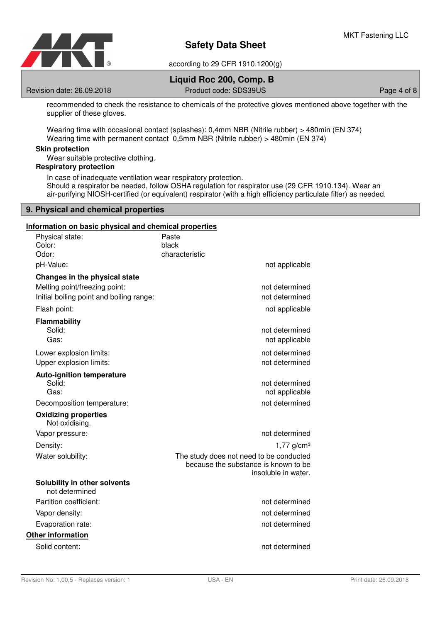

**Liquid Roc 200, Comp. B**

Revision date: 26.09.2018 Product code: SDS39US Page 4 of 8

recommended to check the resistance to chemicals of the protective gloves mentioned above together with the supplier of these gloves.

Wearing time with occasional contact (splashes): 0,4mm NBR (Nitrile rubber) > 480min (EN 374) Wearing time with permanent contact 0,5mm NBR (Nitrile rubber) > 480min (EN 374)

## **Skin protection**

Wear suitable protective clothing.

## **Respiratory protection**

In case of inadequate ventilation wear respiratory protection. Should a respirator be needed, follow OSHA regulation for respirator use (29 CFR 1910.134). Wear an air-purifying NIOSH-certified (or equivalent) respirator (with a high efficiency particulate filter) as needed.

### **9. Physical and chemical properties**

#### **Information on basic physical and chemical properties**

| Physical state:<br>Color:<br>Odor:                                                                         | Paste<br>black<br>characteristic                                                                       |
|------------------------------------------------------------------------------------------------------------|--------------------------------------------------------------------------------------------------------|
| pH-Value:                                                                                                  | not applicable                                                                                         |
| Changes in the physical state<br>Melting point/freezing point:<br>Initial boiling point and boiling range: | not determined<br>not determined                                                                       |
| Flash point:                                                                                               | not applicable                                                                                         |
| <b>Flammability</b><br>Solid:<br>Gas:                                                                      | not determined<br>not applicable                                                                       |
| Lower explosion limits:<br>Upper explosion limits:                                                         | not determined<br>not determined                                                                       |
| <b>Auto-ignition temperature</b><br>Solid:<br>Gas:                                                         | not determined<br>not applicable                                                                       |
| Decomposition temperature:<br><b>Oxidizing properties</b><br>Not oxidising.                                | not determined                                                                                         |
| Vapor pressure:                                                                                            | not determined                                                                                         |
| Density:                                                                                                   | $1,77$ g/cm <sup>3</sup>                                                                               |
| Water solubility:                                                                                          | The study does not need to be conducted<br>because the substance is known to be<br>insoluble in water. |
| Solubility in other solvents<br>not determined                                                             |                                                                                                        |
| Partition coefficient:                                                                                     | not determined                                                                                         |
| Vapor density:                                                                                             | not determined                                                                                         |
| Evaporation rate:                                                                                          | not determined                                                                                         |
| <b>Other information</b>                                                                                   |                                                                                                        |
| Solid content:                                                                                             | not determined                                                                                         |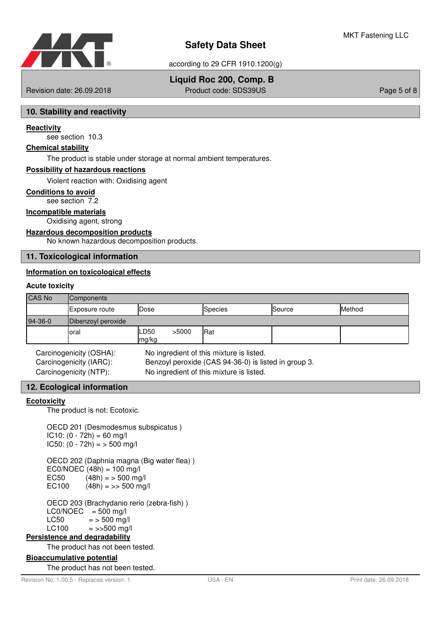

## **Liquid Roc 200, Comp. B**

Revision date: 26.09.2018 Product code: SDS39US Page 5 of 8

## **10. Stability and reactivity**

#### **Reactivity**

see section 10.3

#### **Chemical stability**

The product is stable under storage at normal ambient temperatures.

#### **Possibility of hazardous reactions**

Violent reaction with: Oxidising agent

### **Conditions to avoid**

see section 7.2

#### **Incompatible materials**

Oxidising agent, strong

#### **Hazardous decomposition products**

No known hazardous decomposition products.

### **11. Toxicological information**

## **Information on toxicological effects**

#### **Acute toxicity**

| CAS No  | Components            |                        |                |        |        |
|---------|-----------------------|------------------------|----------------|--------|--------|
|         | <b>Exposure route</b> | Dose                   | <b>Species</b> | Source | Method |
| 94-36-0 | Dibenzoyl peroxide    |                        |                |        |        |
|         | loral                 | >5000<br>LD50<br>mg/kg | Rat            |        |        |

Carcinogenicity (OSHA): No ingredient of this mixture is listed. Carcinogenicity (IARC): Benzoyl peroxide (CAS 94-36-0) is listed in group 3. Carcinogenicity (NTP): No ingredient of this mixture is listed.

#### **12. Ecological information**

#### **Ecotoxicity**

The product is not: Ecotoxic.

OECD 201 (Desmodesmus subspicatus )  $IC10: (0 - 72h) = 60$  mg/l  $IC50: (0 - 72h) = 500$  mg/l

OECD 202 (Daphnia magna (Big water flea) )  $EC0/NOEC (48h) = 100$  mg/l EC50  $(48h) = 500$  mg/l<br>EC100  $(48h) = 500$  mg  $(48h) = >> 500$  mg/l

OECD 203 (Brachydanio rerio (zebra-fish) )  $LCO/NOEC = 500$  mg/l  $LC50 = 500$  mg/l<br> $LC100 = >500$  mg/  $=$  >>500 mg/l

## **Persistence and degradability**

The product has not been tested.

## **Bioaccumulative potential**

The product has not been tested.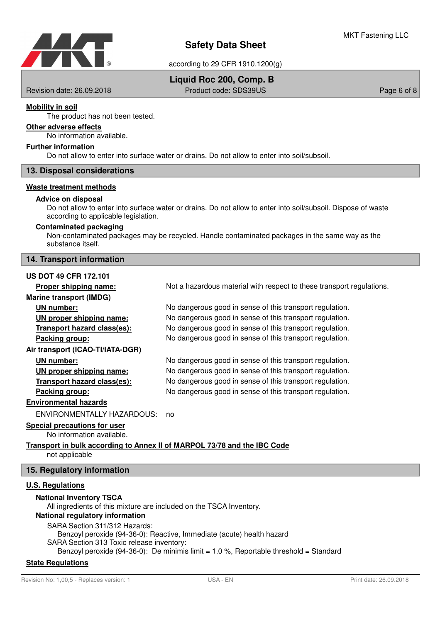

## **Liquid Roc 200, Comp. B**

Revision date: 26.09.2018 **Product code: SDS39US** Page 6 of 8

## **Mobility in soil**

The product has not been tested.

## **Other adverse effects**

No information available.

#### **Further information**

Do not allow to enter into surface water or drains. Do not allow to enter into soil/subsoil.

### **13. Disposal considerations**

#### **Waste treatment methods**

#### **Advice on disposal**

Do not allow to enter into surface water or drains. Do not allow to enter into soil/subsoil. Dispose of waste according to applicable legislation.

#### **Contaminated packaging**

Non-contaminated packages may be recycled. Handle contaminated packages in the same way as the substance itself.

## **14. Transport information**

### **US DOT 49 CFR 172.101**

**Proper shipping name:** Not a hazardous material with respect to these transport regulations. **Marine transport (IMDG) UN number:** No dangerous good in sense of this transport regulation. **UN proper shipping name:** No dangerous good in sense of this transport regulation. **Transport hazard class (es):** No dangerous good in sense of this transport regulation. **Packing group:** No dangerous good in sense of this transport regulation. **Air transport (ICAO-TI/IATA-DGR) UN number:** No dangerous good in sense of this transport regulation. **UN proper shipping name:** No dangerous good in sense of this transport regulation. **Transport hazard class (es):** No dangerous good in sense of this transport regulation. **Packing group:** No dangerous good in sense of this transport regulation. **Environmental hazards** ENVIRONMENTALLY HAZARDOUS: no **Special precautions for user** No information available.

#### **Transport in bulk according to Annex II of MARPOL 73/78 and the IBC Code** not applicable

## **15. Regulatory information**

## **U . S . Regulations**

#### **National Inventory TSCA**

All ingredients of this mixture are included on the TSCA Inventory. **National regulatory information** SARA Section 311/312 Hazards: Benzoyl peroxide (94-36-0): Reactive, Immediate (acute) health hazard SARA Section 313 Toxic release inventory: Benzoyl peroxide (94-36-0): De minimis limit  $= 1.0$  %, Reportable threshold  $=$  Standard

#### **State Regulations**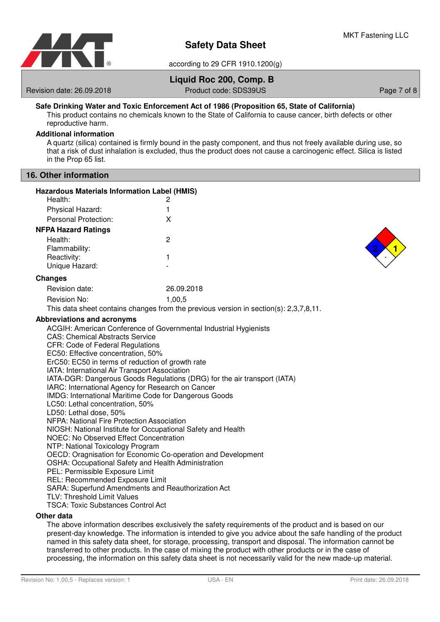

## **Liquid Roc 200, Comp. B**

Revision date: 26.09.2018 **Product code: SDS39US** Page 7 of 8

## **Safe Drinking Water and Toxic Enforcement Act of 1986 (Proposition 65, State of California)**

This product contains no chemicals known to the State of California to cause cancer, birth defects or other reproductive harm.

## **Additional information**

A quartz (silica) contained is firmly bound in the pasty component, and thus not freely available during use, so that a risk of dust inhalation is excluded, thus the product does not cause a carcinogenic effect. Silica is listed in the Prop 65 list.

## **16. Other information**

| <b>Hazardous Materials Information Label (HMIS)</b>                                      |                                                                                                  |
|------------------------------------------------------------------------------------------|--------------------------------------------------------------------------------------------------|
| Health:                                                                                  | 2                                                                                                |
| Physical Hazard:                                                                         | 1                                                                                                |
| Personal Protection:                                                                     | X                                                                                                |
| <b>NFPA Hazard Ratings</b>                                                               |                                                                                                  |
| Health:                                                                                  | $\overline{2}$                                                                                   |
| Flammability:                                                                            |                                                                                                  |
| Reactivity:                                                                              | 1                                                                                                |
| Unique Hazard:                                                                           |                                                                                                  |
| <b>Changes</b>                                                                           |                                                                                                  |
| Revision date:                                                                           | 26.09.2018                                                                                       |
| Revision No:                                                                             | 1,00,5                                                                                           |
|                                                                                          | This data sheet contains changes from the previous version in section(s): 2,3,7,8,11.            |
| <b>Abbreviations and acronyms</b>                                                        |                                                                                                  |
|                                                                                          | ACGIH: American Conference of Governmental Industrial Hygienists                                 |
| <b>CAS: Chemical Abstracts Service</b><br>CFR: Code of Federal Regulations               |                                                                                                  |
| EC50: Effective concentration, 50%                                                       |                                                                                                  |
| ErC50: EC50 in terms of reduction of growth rate                                         |                                                                                                  |
| IATA: International Air Transport Association                                            |                                                                                                  |
|                                                                                          | IATA-DGR: Dangerous Goods Regulations (DRG) for the air transport (IATA)                         |
| IARC: International Agency for Research on Cancer                                        |                                                                                                  |
| IMDG: International Maritime Code for Dangerous Goods<br>LC50: Lethal concentration, 50% |                                                                                                  |
| LD50: Lethal dose, 50%                                                                   |                                                                                                  |
| NFPA: National Fire Protection Association                                               |                                                                                                  |
|                                                                                          | NIOSH: National Institute for Occupational Safety and Health                                     |
| <b>NOEC: No Observed Effect Concentration</b>                                            |                                                                                                  |
| NTP: National Toxicology Program                                                         | OECD: Oragnisation for Economic Co-operation and Development                                     |
| OSHA: Occupational Safety and Health Administration                                      |                                                                                                  |
| PEL: Permissible Exposure Limit                                                          |                                                                                                  |
| REL: Recommended Exposure Limit                                                          |                                                                                                  |
| SARA: Superfund Amendments and Reauthorization Act                                       |                                                                                                  |
| TLV: Threshold Limit Values                                                              |                                                                                                  |
| <b>TSCA: Toxic Substances Control Act</b>                                                |                                                                                                  |
| Other data                                                                               | The chains before also also albert analysische ha steht neunbeauste af the analysis and behave a |

The above information describes exclusively the safety requirements of the product and is based on our present-day knowledge. The information is intended to give you advice about the safe handling of the product named in this safety data sheet, for storage, processing, transport and disposal. The information cannot be transferred to other products. In the case of mixing the product with other products or in the case of processing, the information on this safety data sheet is not necessarily valid for the new made-up material.